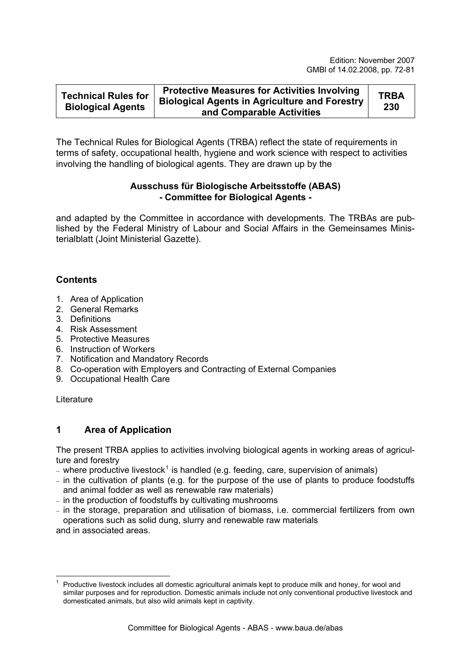| <b>Technical Rules for</b><br><b>Biological Agents</b> | <b>Protective Measures for Activities Involving</b><br><b>Biological Agents in Agriculture and Forestry</b><br>and Comparable Activities | <b>TRBA</b><br>230 |
|--------------------------------------------------------|------------------------------------------------------------------------------------------------------------------------------------------|--------------------|
|--------------------------------------------------------|------------------------------------------------------------------------------------------------------------------------------------------|--------------------|

The Technical Rules for Biological Agents (TRBA) reflect the state of requirements in terms of safety, occupational health, hygiene and work science with respect to activities involving the handling of biological agents. They are drawn up by the

## **Ausschuss für Biologische Arbeitsstoffe (ABAS) - Committee for Biological Agents -**

and adapted by the Committee in accordance with developments. The TRBAs are published by the Federal Ministry of Labour and Social Affairs in the Gemeinsames Ministerialblatt (Joint Ministerial Gazette).

# **Contents**

- 1. Area of Application
- 2. General Remarks
- 3. Definitions
- 4. Risk Assessment
- 5. Protective Measures
- 6. Instruction of Workers
- 7. Notification and Mandatory Records
- 8. Co-operation with Employers and Contracting of External Companies
- 9. Occupational Health Care

**Literature** 

# **1 Area of Application**

The present TRBA applies to activities involving biological agents in working areas of agriculture and forestry

- where productive livestock<sup>[1](#page-0-0)</sup> is handled (e.g. feeding, care, supervision of animals)
- − in the cultivation of plants (e.g. for the purpose of the use of plants to produce foodstuffs and animal fodder as well as renewable raw materials)
- − in the production of foodstuffs by cultivating mushrooms
- − in the storage, preparation and utilisation of biomass, i.e. commercial fertilizers from own operations such as solid dung, slurry and renewable raw materials

and in associated areas.

<span id="page-0-0"></span><sup>1</sup> 1 Productive livestock includes all domestic agricultural animals kept to produce milk and honey, for wool and similar purposes and for reproduction. Domestic animals include not only conventional productive livestock and domesticated animals, but also wild animals kept in captivity.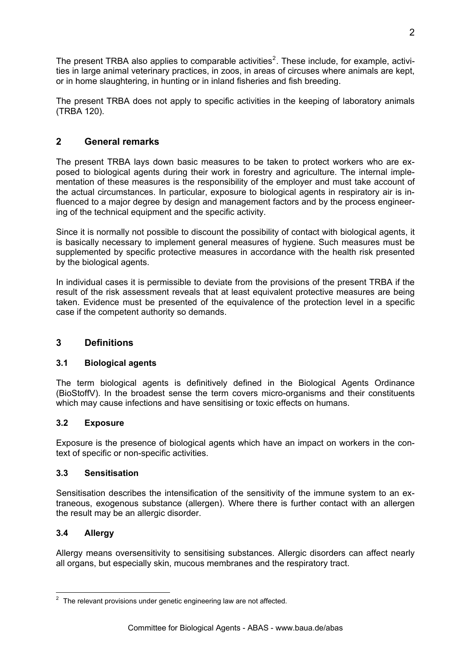The present TRBA also applies to comparable activities<sup>[2](#page-1-0)</sup>. These include, for example, activities in large animal veterinary practices, in zoos, in areas of circuses where animals are kept, or in home slaughtering, in hunting or in inland fisheries and fish breeding.

The present TRBA does not apply to specific activities in the keeping of laboratory animals (TRBA 120).

# **2 General remarks**

The present TRBA lays down basic measures to be taken to protect workers who are exposed to biological agents during their work in forestry and agriculture. The internal implementation of these measures is the responsibility of the employer and must take account of the actual circumstances. In particular, exposure to biological agents in respiratory air is influenced to a major degree by design and management factors and by the process engineering of the technical equipment and the specific activity.

Since it is normally not possible to discount the possibility of contact with biological agents, it is basically necessary to implement general measures of hygiene. Such measures must be supplemented by specific protective measures in accordance with the health risk presented by the biological agents.

In individual cases it is permissible to deviate from the provisions of the present TRBA if the result of the risk assessment reveals that at least equivalent protective measures are being taken. Evidence must be presented of the equivalence of the protection level in a specific case if the competent authority so demands.

## **3 Definitions**

## **3.1 Biological agents**

The term biological agents is definitively defined in the Biological Agents Ordinance (BioStoffV). In the broadest sense the term covers micro-organisms and their constituents which may cause infections and have sensitising or toxic effects on humans.

#### **3.2 Exposure**

Exposure is the presence of biological agents which have an impact on workers in the context of specific or non-specific activities.

#### **3.3 Sensitisation**

Sensitisation describes the intensification of the sensitivity of the immune system to an extraneous, exogenous substance (allergen). Where there is further contact with an allergen the result may be an allergic disorder.

#### **3.4 Allergy**

Allergy means oversensitivity to sensitising substances. Allergic disorders can affect nearly all organs, but especially skin, mucous membranes and the respiratory tract.

<span id="page-1-0"></span> 2 The relevant provisions under genetic engineering law are not affected.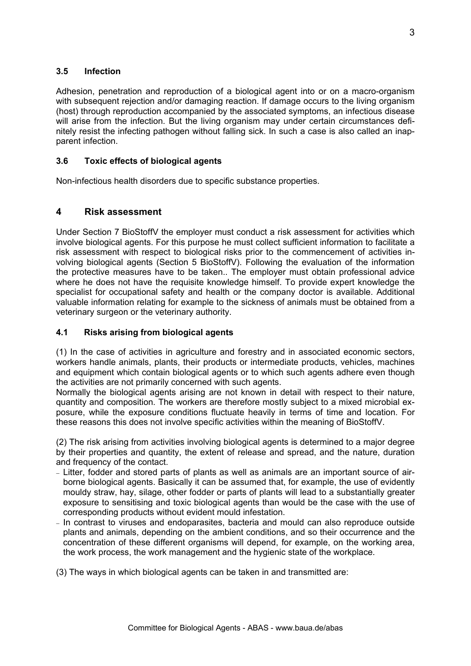## **3.5 Infection**

Adhesion, penetration and reproduction of a biological agent into or on a macro-organism with subsequent rejection and/or damaging reaction. If damage occurs to the living organism (host) through reproduction accompanied by the associated symptoms, an infectious disease will arise from the infection. But the living organism may under certain circumstances definitely resist the infecting pathogen without falling sick. In such a case is also called an inapparent infection.

## **3.6 Toxic effects of biological agents**

Non-infectious health disorders due to specific substance properties.

## **4 Risk assessment**

Under Section 7 BioStoffV the employer must conduct a risk assessment for activities which involve biological agents. For this purpose he must collect sufficient information to facilitate a risk assessment with respect to biological risks prior to the commencement of activities involving biological agents (Section 5 BioStoffV). Following the evaluation of the information the protective measures have to be taken.. The employer must obtain professional advice where he does not have the requisite knowledge himself. To provide expert knowledge the specialist for occupational safety and health or the company doctor is available. Additional valuable information relating for example to the sickness of animals must be obtained from a veterinary surgeon or the veterinary authority.

## **4.1 Risks arising from biological agents**

(1) In the case of activities in agriculture and forestry and in associated economic sectors, workers handle animals, plants, their products or intermediate products, vehicles, machines and equipment which contain biological agents or to which such agents adhere even though the activities are not primarily concerned with such agents.

Normally the biological agents arising are not known in detail with respect to their nature, quantity and composition. The workers are therefore mostly subject to a mixed microbial exposure, while the exposure conditions fluctuate heavily in terms of time and location. For these reasons this does not involve specific activities within the meaning of BioStoffV.

(2) The risk arising from activities involving biological agents is determined to a major degree by their properties and quantity, the extent of release and spread, and the nature, duration and frequency of the contact.

- − Litter, fodder and stored parts of plants as well as animals are an important source of airborne biological agents. Basically it can be assumed that, for example, the use of evidently mouldy straw, hay, silage, other fodder or parts of plants will lead to a substantially greater exposure to sensitising and toxic biological agents than would be the case with the use of corresponding products without evident mould infestation.
- − In contrast to viruses and endoparasites, bacteria and mould can also reproduce outside plants and animals, depending on the ambient conditions, and so their occurrence and the concentration of these different organisms will depend, for example, on the working area, the work process, the work management and the hygienic state of the workplace.

(3) The ways in which biological agents can be taken in and transmitted are: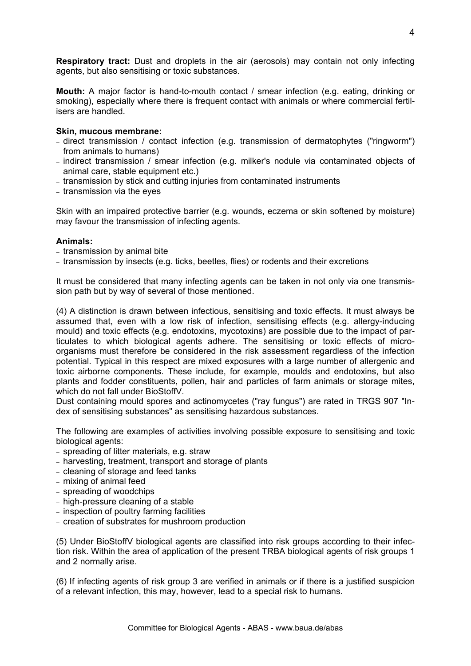**Respiratory tract:** Dust and droplets in the air (aerosols) may contain not only infecting agents, but also sensitising or toxic substances.

**Mouth:** A major factor is hand-to-mouth contact / smear infection (e.g. eating, drinking or smoking), especially where there is frequent contact with animals or where commercial fertilisers are handled.

#### **Skin, mucous membrane:**

- − direct transmission / contact infection (e.g. transmission of dermatophytes ("ringworm") from animals to humans)
- − indirect transmission / smear infection (e.g. milker's nodule via contaminated objects of animal care, stable equipment etc.)
- − transmission by stick and cutting injuries from contaminated instruments
- − transmission via the eyes

Skin with an impaired protective barrier (e.g. wounds, eczema or skin softened by moisture) may favour the transmission of infecting agents.

#### **Animals:**

- − transmission by animal bite
- − transmission by insects (e.g. ticks, beetles, flies) or rodents and their excretions

It must be considered that many infecting agents can be taken in not only via one transmission path but by way of several of those mentioned.

(4) A distinction is drawn between infectious, sensitising and toxic effects. It must always be assumed that, even with a low risk of infection, sensitising effects (e.g. allergy-inducing mould) and toxic effects (e.g. endotoxins, mycotoxins) are possible due to the impact of particulates to which biological agents adhere. The sensitising or toxic effects of microorganisms must therefore be considered in the risk assessment regardless of the infection potential. Typical in this respect are mixed exposures with a large number of allergenic and toxic airborne components. These include, for example, moulds and endotoxins, but also plants and fodder constituents, pollen, hair and particles of farm animals or storage mites, which do not fall under BioStoffV.

Dust containing mould spores and actinomycetes ("ray fungus") are rated in TRGS 907 "Index of sensitising substances" as sensitising hazardous substances.

The following are examples of activities involving possible exposure to sensitising and toxic biological agents:

- − spreading of litter materials, e.g. straw
- − harvesting, treatment, transport and storage of plants
- − cleaning of storage and feed tanks
- − mixing of animal feed
- − spreading of woodchips
- − high-pressure cleaning of a stable
- − inspection of poultry farming facilities
- − creation of substrates for mushroom production

(5) Under BioStoffV biological agents are classified into risk groups according to their infection risk. Within the area of application of the present TRBA biological agents of risk groups 1 and 2 normally arise.

(6) If infecting agents of risk group 3 are verified in animals or if there is a justified suspicion of a relevant infection, this may, however, lead to a special risk to humans.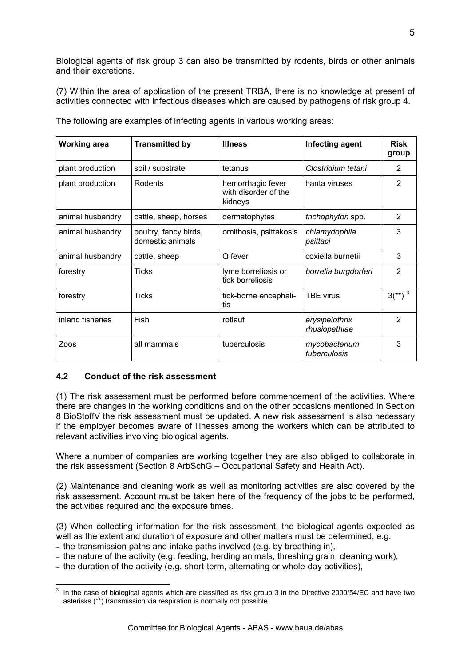Biological agents of risk group 3 can also be transmitted by rodents, birds or other animals and their excretions.

(7) Within the area of application of the present TRBA, there is no knowledge at present of activities connected with infectious diseases which are caused by pathogens of risk group 4.

| <b>Working area</b> | <b>Transmitted by</b>                     | <b>Illness</b>                                       | Infecting agent                 | <b>Risk</b><br>group  |
|---------------------|-------------------------------------------|------------------------------------------------------|---------------------------------|-----------------------|
| plant production    | soil / substrate                          | tetanus                                              | Clostridium tetani              | $\overline{2}$        |
| plant production    | Rodents                                   | hemorrhagic fever<br>with disorder of the<br>kidneys | hanta viruses                   | 2                     |
| animal husbandry    | cattle, sheep, horses                     | dermatophytes                                        | trichophyton spp.               | $\overline{2}$        |
| animal husbandry    | poultry, fancy birds,<br>domestic animals | ornithosis, psittakosis                              | chlamydophila<br>psittaci       | 3                     |
| animal husbandry    | cattle, sheep                             | Q fever                                              | coxiella burnetii               | 3                     |
| forestry            | <b>Ticks</b>                              | lyme borreliosis or<br>tick borreliosis              | borrelia burgdorferi            | $\mathfrak{p}$        |
| forestry            | <b>Ticks</b>                              | tick-borne encephali-<br>tis                         | <b>TBE virus</b>                | $3^{**}$ <sup>3</sup> |
| inland fisheries    | Fish                                      | rotlauf                                              | erysipelothrix<br>rhusiopathiae | $\mathcal{P}$         |
| Zoos                | all mammals                               | tuberculosis                                         | mycobacterium<br>tuberculosis   | 3                     |

The following are examples of infecting agents in various working areas:

#### **4.2 Conduct of the risk assessment**

(1) The risk assessment must be performed before commencement of the activities. Where there are changes in the working conditions and on the other occasions mentioned in Section 8 BioStoffV the risk assessment must be updated. A new risk assessment is also necessary if the employer becomes aware of illnesses among the workers which can be attributed to relevant activities involving biological agents.

Where a number of companies are working together they are also obliged to collaborate in the risk assessment (Section 8 ArbSchG – Occupational Safety and Health Act).

(2) Maintenance and cleaning work as well as monitoring activities are also covered by the risk assessment. Account must be taken here of the frequency of the jobs to be performed, the activities required and the exposure times.

(3) When collecting information for the risk assessment, the biological agents expected as well as the extent and duration of exposure and other matters must be determined, e.g.

- − the transmission paths and intake paths involved (e.g. by breathing in),
- − the nature of the activity (e.g. feeding, herding animals, threshing grain, cleaning work),
- − the duration of the activity (e.g. short-term, alternating or whole-day activities),

<span id="page-4-0"></span> 3 In the case of biological agents which are classified as risk group 3 in the Directive 2000/54/EC and have two asterisks (\*\*) transmission via respiration is normally not possible.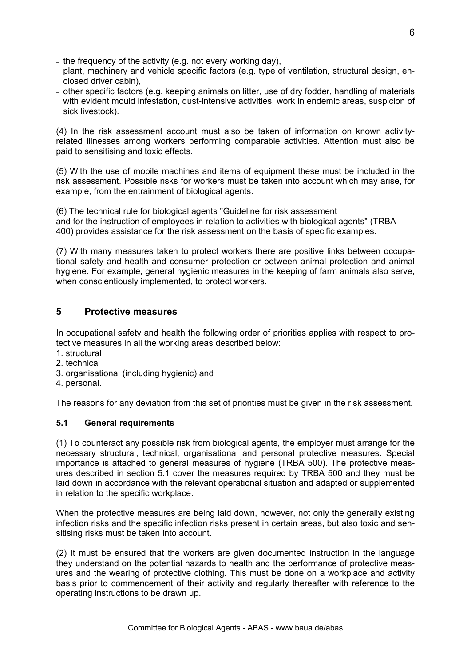- − the frequency of the activity (e.g. not every working day),
- − plant, machinery and vehicle specific factors (e.g. type of ventilation, structural design, enclosed driver cabin),
- − other specific factors (e.g. keeping animals on litter, use of dry fodder, handling of materials with evident mould infestation, dust-intensive activities, work in endemic areas, suspicion of sick livestock).

(4) In the risk assessment account must also be taken of information on known activityrelated illnesses among workers performing comparable activities. Attention must also be paid to sensitising and toxic effects.

(5) With the use of mobile machines and items of equipment these must be included in the risk assessment. Possible risks for workers must be taken into account which may arise, for example, from the entrainment of biological agents.

(6) The technical rule for biological agents "Guideline for risk assessment and for the instruction of employees in relation to activities with biological agents" (TRBA 400) provides assistance for the risk assessment on the basis of specific examples.

(7) With many measures taken to protect workers there are positive links between occupational safety and health and consumer protection or between animal protection and animal hygiene. For example, general hygienic measures in the keeping of farm animals also serve, when conscientiously implemented, to protect workers.

## **5 Protective measures**

In occupational safety and health the following order of priorities applies with respect to protective measures in all the working areas described below:

- 1. structural
- 2. technical
- 3. organisational (including hygienic) and
- 4. personal.

The reasons for any deviation from this set of priorities must be given in the risk assessment.

#### **5.1 General requirements**

(1) To counteract any possible risk from biological agents, the employer must arrange for the necessary structural, technical, organisational and personal protective measures. Special importance is attached to general measures of hygiene (TRBA 500). The protective measures described in section 5.1 cover the measures required by TRBA 500 and they must be laid down in accordance with the relevant operational situation and adapted or supplemented in relation to the specific workplace.

When the protective measures are being laid down, however, not only the generally existing infection risks and the specific infection risks present in certain areas, but also toxic and sensitising risks must be taken into account.

(2) It must be ensured that the workers are given documented instruction in the language they understand on the potential hazards to health and the performance of protective measures and the wearing of protective clothing. This must be done on a workplace and activity basis prior to commencement of their activity and regularly thereafter with reference to the operating instructions to be drawn up.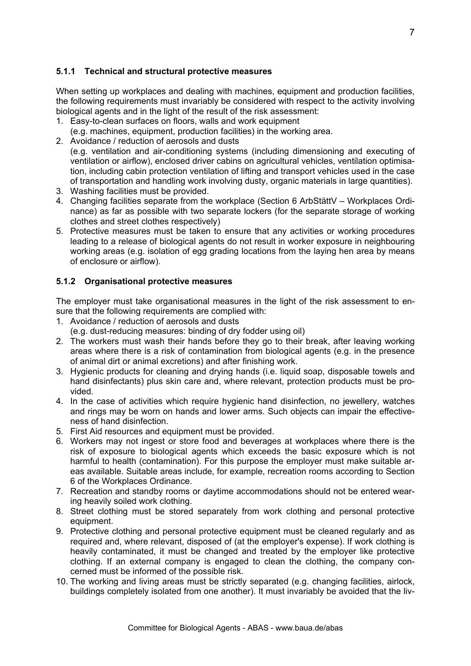## **5.1.1 Technical and structural protective measures**

When setting up workplaces and dealing with machines, equipment and production facilities, the following requirements must invariably be considered with respect to the activity involving biological agents and in the light of the result of the risk assessment:

- 1. Easy-to-clean surfaces on floors, walls and work equipment
	- (e.g. machines, equipment, production facilities) in the working area.
- 2. Avoidance / reduction of aerosols and dusts (e.g. ventilation and air-conditioning systems (including dimensioning and executing of ventilation or airflow), enclosed driver cabins on agricultural vehicles, ventilation optimisation, including cabin protection ventilation of lifting and transport vehicles used in the case of transportation and handling work involving dusty, organic materials in large quantities).
- 3. Washing facilities must be provided.
- 4. Changing facilities separate from the workplace (Section 6 ArbStättV Workplaces Ordinance) as far as possible with two separate lockers (for the separate storage of working clothes and street clothes respectively)
- 5. Protective measures must be taken to ensure that any activities or working procedures leading to a release of biological agents do not result in worker exposure in neighbouring working areas (e.g. isolation of egg grading locations from the laying hen area by means of enclosure or airflow).

#### **5.1.2 Organisational protective measures**

The employer must take organisational measures in the light of the risk assessment to ensure that the following requirements are complied with:

- 1. Avoidance / reduction of aerosols and dusts
	- (e.g. dust-reducing measures: binding of dry fodder using oil)
- 2. The workers must wash their hands before they go to their break, after leaving working areas where there is a risk of contamination from biological agents (e.g. in the presence of animal dirt or animal excretions) and after finishing work.
- 3. Hygienic products for cleaning and drying hands (i.e. liquid soap, disposable towels and hand disinfectants) plus skin care and, where relevant, protection products must be provided.
- 4. In the case of activities which require hygienic hand disinfection, no jewellery, watches and rings may be worn on hands and lower arms. Such objects can impair the effectiveness of hand disinfection.
- 5. First Aid resources and equipment must be provided.
- 6. Workers may not ingest or store food and beverages at workplaces where there is the risk of exposure to biological agents which exceeds the basic exposure which is not harmful to health (contamination). For this purpose the employer must make suitable areas available. Suitable areas include, for example, recreation rooms according to Section 6 of the Workplaces Ordinance.
- 7. Recreation and standby rooms or daytime accommodations should not be entered wearing heavily soiled work clothing.
- 8. Street clothing must be stored separately from work clothing and personal protective equipment.
- 9. Protective clothing and personal protective equipment must be cleaned regularly and as required and, where relevant, disposed of (at the employer's expense). If work clothing is heavily contaminated, it must be changed and treated by the employer like protective clothing. If an external company is engaged to clean the clothing, the company concerned must be informed of the possible risk.
- 10. The working and living areas must be strictly separated (e.g. changing facilities, airlock, buildings completely isolated from one another). It must invariably be avoided that the liv-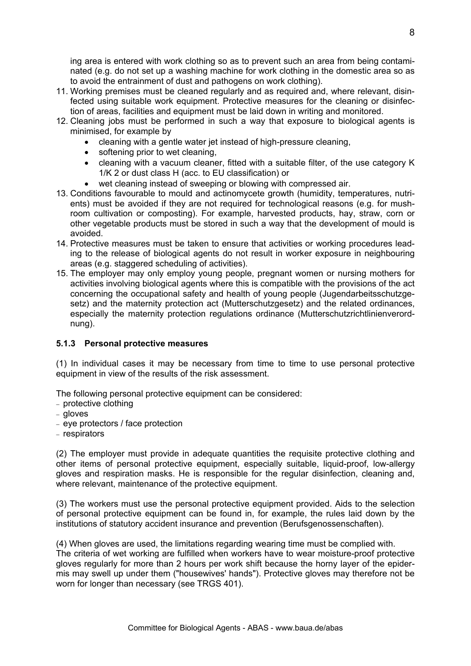ing area is entered with work clothing so as to prevent such an area from being contaminated (e.g. do not set up a washing machine for work clothing in the domestic area so as to avoid the entrainment of dust and pathogens on work clothing).

- 11. Working premises must be cleaned regularly and as required and, where relevant, disinfected using suitable work equipment. Protective measures for the cleaning or disinfection of areas, facilities and equipment must be laid down in writing and monitored.
- 12. Cleaning jobs must be performed in such a way that exposure to biological agents is minimised, for example by
	- cleaning with a gentle water jet instead of high-pressure cleaning,
	- softening prior to wet cleaning,
	- cleaning with a vacuum cleaner, fitted with a suitable filter, of the use category K 1/K 2 or dust class H (acc. to EU classification) or
	- wet cleaning instead of sweeping or blowing with compressed air.
- 13. Conditions favourable to mould and actinomycete growth (humidity, temperatures, nutrients) must be avoided if they are not required for technological reasons (e.g. for mushroom cultivation or composting). For example, harvested products, hay, straw, corn or other vegetable products must be stored in such a way that the development of mould is avoided.
- 14. Protective measures must be taken to ensure that activities or working procedures leading to the release of biological agents do not result in worker exposure in neighbouring areas (e.g. staggered scheduling of activities).
- 15. The employer may only employ young people, pregnant women or nursing mothers for activities involving biological agents where this is compatible with the provisions of the act concerning the occupational safety and health of young people (Jugendarbeitsschutzgesetz) and the maternity protection act (Mutterschutzgesetz) and the related ordinances, especially the maternity protection regulations ordinance (Mutterschutzrichtlinienverordnung).

## **5.1.3 Personal protective measures**

(1) In individual cases it may be necessary from time to time to use personal protective equipment in view of the results of the risk assessment.

The following personal protective equipment can be considered:

- − protective clothing
- − gloves
- − eye protectors / face protection
- − respirators

(2) The employer must provide in adequate quantities the requisite protective clothing and other items of personal protective equipment, especially suitable, liquid-proof, low-allergy gloves and respiration masks. He is responsible for the regular disinfection, cleaning and, where relevant, maintenance of the protective equipment.

(3) The workers must use the personal protective equipment provided. Aids to the selection of personal protective equipment can be found in, for example, the rules laid down by the institutions of statutory accident insurance and prevention (Berufsgenossenschaften).

(4) When gloves are used, the limitations regarding wearing time must be complied with. The criteria of wet working are fulfilled when workers have to wear moisture-proof protective gloves regularly for more than 2 hours per work shift because the horny layer of the epidermis may swell up under them ("housewives' hands"). Protective gloves may therefore not be worn for longer than necessary (see TRGS 401).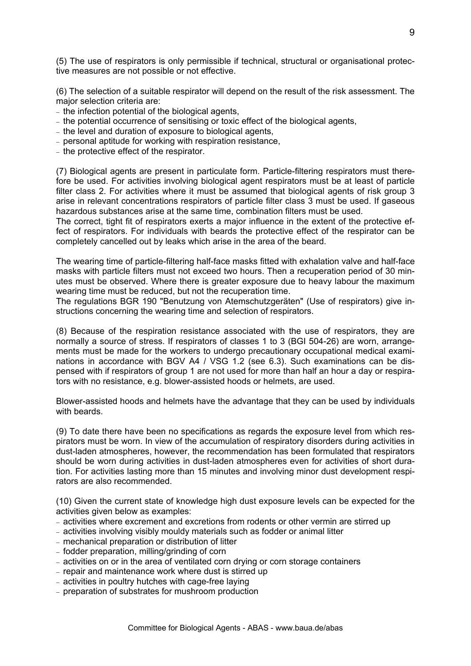(5) The use of respirators is only permissible if technical, structural or organisational protective measures are not possible or not effective.

(6) The selection of a suitable respirator will depend on the result of the risk assessment. The major selection criteria are:

- − the infection potential of the biological agents,
- − the potential occurrence of sensitising or toxic effect of the biological agents,
- − the level and duration of exposure to biological agents,
- − personal aptitude for working with respiration resistance,
- − the protective effect of the respirator.

(7) Biological agents are present in particulate form. Particle-filtering respirators must therefore be used. For activities involving biological agent respirators must be at least of particle filter class 2. For activities where it must be assumed that biological agents of risk group 3 arise in relevant concentrations respirators of particle filter class 3 must be used. If gaseous hazardous substances arise at the same time, combination filters must be used.

The correct, tight fit of respirators exerts a major influence in the extent of the protective effect of respirators. For individuals with beards the protective effect of the respirator can be completely cancelled out by leaks which arise in the area of the beard.

The wearing time of particle-filtering half-face masks fitted with exhalation valve and half-face masks with particle filters must not exceed two hours. Then a recuperation period of 30 minutes must be observed. Where there is greater exposure due to heavy labour the maximum wearing time must be reduced, but not the recuperation time.

The regulations BGR 190 "Benutzung von Atemschutzgeräten" (Use of respirators) give instructions concerning the wearing time and selection of respirators.

(8) Because of the respiration resistance associated with the use of respirators, they are normally a source of stress. If respirators of classes 1 to 3 (BGI 504-26) are worn, arrangements must be made for the workers to undergo precautionary occupational medical examinations in accordance with BGV A4 / VSG 1.2 (see 6.3). Such examinations can be dispensed with if respirators of group 1 are not used for more than half an hour a day or respirators with no resistance, e.g. blower-assisted hoods or helmets, are used.

Blower-assisted hoods and helmets have the advantage that they can be used by individuals with beards.

(9) To date there have been no specifications as regards the exposure level from which respirators must be worn. In view of the accumulation of respiratory disorders during activities in dust-laden atmospheres, however, the recommendation has been formulated that respirators should be worn during activities in dust-laden atmospheres even for activities of short duration. For activities lasting more than 15 minutes and involving minor dust development respirators are also recommended.

(10) Given the current state of knowledge high dust exposure levels can be expected for the activities given below as examples:

- − activities where excrement and excretions from rodents or other vermin are stirred up
- − activities involving visibly mouldy materials such as fodder or animal litter
- − mechanical preparation or distribution of litter
- − fodder preparation, milling/grinding of corn
- − activities on or in the area of ventilated corn drying or corn storage containers
- − repair and maintenance work where dust is stirred up
- − activities in poultry hutches with cage-free laying
- − preparation of substrates for mushroom production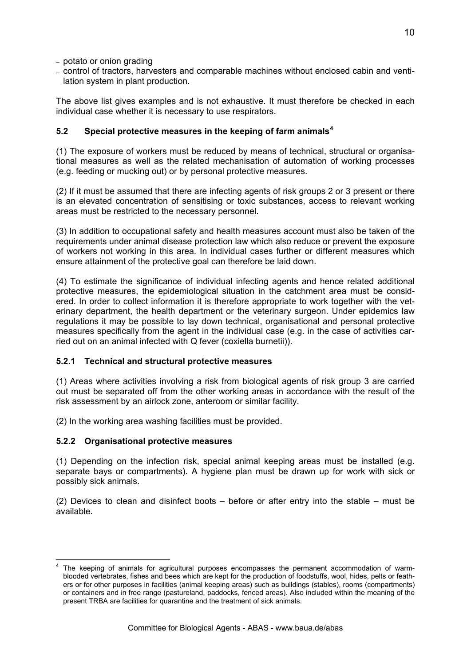- − potato or onion grading
- − control of tractors, harvesters and comparable machines without enclosed cabin and ventilation system in plant production.

The above list gives examples and is not exhaustive. It must therefore be checked in each individual case whether it is necessary to use respirators.

#### **5.2 Special protective measures in the keeping of farm animals[4](#page-9-0)**

(1) The exposure of workers must be reduced by means of technical, structural or organisational measures as well as the related mechanisation of automation of working processes (e.g. feeding or mucking out) or by personal protective measures.

(2) If it must be assumed that there are infecting agents of risk groups 2 or 3 present or there is an elevated concentration of sensitising or toxic substances, access to relevant working areas must be restricted to the necessary personnel.

(3) In addition to occupational safety and health measures account must also be taken of the requirements under animal disease protection law which also reduce or prevent the exposure of workers not working in this area. In individual cases further or different measures which ensure attainment of the protective goal can therefore be laid down.

(4) To estimate the significance of individual infecting agents and hence related additional protective measures, the epidemiological situation in the catchment area must be considered. In order to collect information it is therefore appropriate to work together with the veterinary department, the health department or the veterinary surgeon. Under epidemics law regulations it may be possible to lay down technical, organisational and personal protective measures specifically from the agent in the individual case (e.g. in the case of activities carried out on an animal infected with Q fever (coxiella burnetii)).

#### **5.2.1 Technical and structural protective measures**

(1) Areas where activities involving a risk from biological agents of risk group 3 are carried out must be separated off from the other working areas in accordance with the result of the risk assessment by an airlock zone, anteroom or similar facility.

(2) In the working area washing facilities must be provided.

#### **5.2.2 Organisational protective measures**

(1) Depending on the infection risk, special animal keeping areas must be installed (e.g. separate bays or compartments). A hygiene plan must be drawn up for work with sick or possibly sick animals.

(2) Devices to clean and disinfect boots – before or after entry into the stable – must be available.

<span id="page-9-0"></span><sup>1</sup> 4 The keeping of animals for agricultural purposes encompasses the permanent accommodation of warmblooded vertebrates, fishes and bees which are kept for the production of foodstuffs, wool, hides, pelts or feathers or for other purposes in facilities (animal keeping areas) such as buildings (stables), rooms (compartments) or containers and in free range (pastureland, paddocks, fenced areas). Also included within the meaning of the present TRBA are facilities for quarantine and the treatment of sick animals.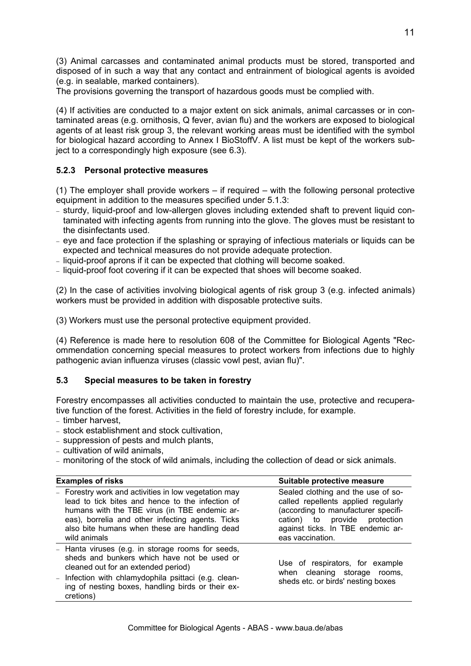(3) Animal carcasses and contaminated animal products must be stored, transported and disposed of in such a way that any contact and entrainment of biological agents is avoided (e.g. in sealable, marked containers).

The provisions governing the transport of hazardous goods must be complied with.

(4) If activities are conducted to a major extent on sick animals, animal carcasses or in contaminated areas (e.g. ornithosis, Q fever, avian flu) and the workers are exposed to biological agents of at least risk group 3, the relevant working areas must be identified with the symbol for biological hazard according to Annex I BioStoffV. A list must be kept of the workers subject to a correspondingly high exposure (see 6.3).

#### **5.2.3 Personal protective measures**

(1) The employer shall provide workers – if required – with the following personal protective equipment in addition to the measures specified under 5.1.3:

- − sturdy, liquid-proof and low-allergen gloves including extended shaft to prevent liquid contaminated with infecting agents from running into the glove. The gloves must be resistant to the disinfectants used.
- − eye and face protection if the splashing or spraying of infectious materials or liquids can be expected and technical measures do not provide adequate protection.
- − liquid-proof aprons if it can be expected that clothing will become soaked.
- − liquid-proof foot covering if it can be expected that shoes will become soaked.

(2) In the case of activities involving biological agents of risk group 3 (e.g. infected animals) workers must be provided in addition with disposable protective suits.

(3) Workers must use the personal protective equipment provided.

(4) Reference is made here to resolution 608 of the Committee for Biological Agents "Recommendation concerning special measures to protect workers from infections due to highly pathogenic avian influenza viruses (classic vowl pest, avian flu)".

#### **5.3 Special measures to be taken in forestry**

Forestry encompasses all activities conducted to maintain the use, protective and recuperative function of the forest. Activities in the field of forestry include, for example.

- − timber harvest,
- − stock establishment and stock cultivation,
- − suppression of pests and mulch plants,
- − cultivation of wild animals,
- − monitoring of the stock of wild animals, including the collection of dead or sick animals.

# **Examples of risks** Suitable protective measure

| - Forestry work and activities in low vegetation may<br>lead to tick bites and hence to the infection of<br>humans with the TBE virus (in TBE endemic ar-<br>eas), borrelia and other infecting agents. Ticks<br>also bite humans when these are handling dead<br>wild animals | Sealed clothing and the use of so-<br>called repellents applied regularly<br>(according to manufacturer specifi-<br>cation) to provide protection<br>against ticks. In TBE endemic ar-<br>eas vaccination. |
|--------------------------------------------------------------------------------------------------------------------------------------------------------------------------------------------------------------------------------------------------------------------------------|------------------------------------------------------------------------------------------------------------------------------------------------------------------------------------------------------------|
| - Hanta viruses (e.g. in storage rooms for seeds,<br>sheds and bunkers which have not be used or<br>cleaned out for an extended period)<br>- Infection with chlamydophila psittaci (e.g. clean-<br>ing of nesting boxes, handling birds or their ex-<br>cretions)              | Use of respirators, for example<br>when cleaning storage rooms,<br>sheds etc. or birds' nesting boxes                                                                                                      |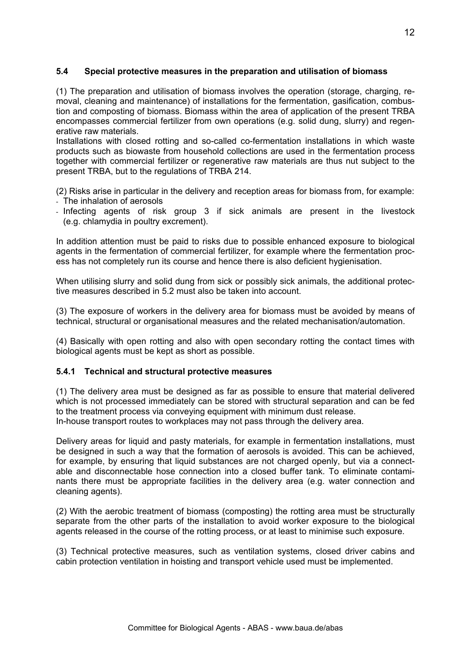### **5.4 Special protective measures in the preparation and utilisation of biomass**

(1) The preparation and utilisation of biomass involves the operation (storage, charging, removal, cleaning and maintenance) of installations for the fermentation, gasification, combustion and composting of biomass. Biomass within the area of application of the present TRBA encompasses commercial fertilizer from own operations (e.g. solid dung, slurry) and regenerative raw materials.

Installations with closed rotting and so-called co-fermentation installations in which waste products such as biowaste from household collections are used in the fermentation process together with commercial fertilizer or regenerative raw materials are thus nut subject to the present TRBA, but to the regulations of TRBA 214.

(2) Risks arise in particular in the delivery and reception areas for biomass from, for example:

- The inhalation of aerosols
- Infecting agents of risk group 3 if sick animals are present in the livestock (e.g. chlamydia in poultry excrement).

In addition attention must be paid to risks due to possible enhanced exposure to biological agents in the fermentation of commercial fertilizer, for example where the fermentation process has not completely run its course and hence there is also deficient hygienisation.

When utilising slurry and solid dung from sick or possibly sick animals, the additional protective measures described in 5.2 must also be taken into account.

(3) The exposure of workers in the delivery area for biomass must be avoided by means of technical, structural or organisational measures and the related mechanisation/automation.

(4) Basically with open rotting and also with open secondary rotting the contact times with biological agents must be kept as short as possible.

#### **5.4.1 Technical and structural protective measures**

(1) The delivery area must be designed as far as possible to ensure that material delivered which is not processed immediately can be stored with structural separation and can be fed to the treatment process via conveying equipment with minimum dust release. In-house transport routes to workplaces may not pass through the delivery area.

Delivery areas for liquid and pasty materials, for example in fermentation installations, must be designed in such a way that the formation of aerosols is avoided. This can be achieved, for example, by ensuring that liquid substances are not charged openly, but via a connectable and disconnectable hose connection into a closed buffer tank. To eliminate contaminants there must be appropriate facilities in the delivery area (e.g. water connection and cleaning agents).

(2) With the aerobic treatment of biomass (composting) the rotting area must be structurally separate from the other parts of the installation to avoid worker exposure to the biological agents released in the course of the rotting process, or at least to minimise such exposure.

(3) Technical protective measures, such as ventilation systems, closed driver cabins and cabin protection ventilation in hoisting and transport vehicle used must be implemented.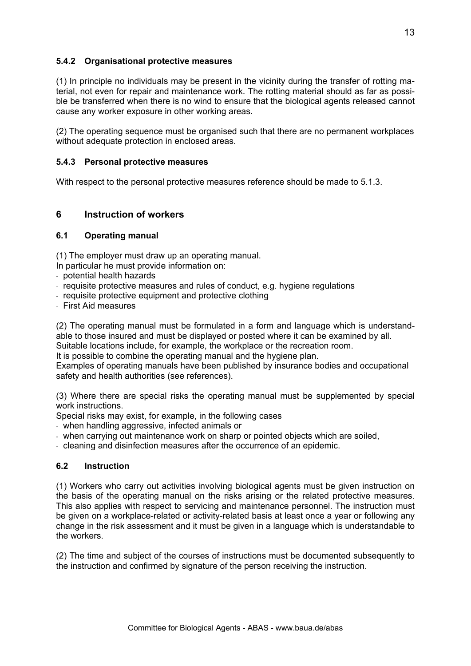## **5.4.2 Organisational protective measures**

(1) In principle no individuals may be present in the vicinity during the transfer of rotting material, not even for repair and maintenance work. The rotting material should as far as possible be transferred when there is no wind to ensure that the biological agents released cannot cause any worker exposure in other working areas.

(2) The operating sequence must be organised such that there are no permanent workplaces without adequate protection in enclosed areas.

#### **5.4.3 Personal protective measures**

With respect to the personal protective measures reference should be made to 5.1.3.

#### **6 Instruction of workers**

#### **6.1 Operating manual**

(1) The employer must draw up an operating manual.

In particular he must provide information on:

- potential health hazards
- requisite protective measures and rules of conduct, e.g. hygiene regulations
- requisite protective equipment and protective clothing
- First Aid measures

(2) The operating manual must be formulated in a form and language which is understandable to those insured and must be displayed or posted where it can be examined by all.

Suitable locations include, for example, the workplace or the recreation room.

It is possible to combine the operating manual and the hygiene plan.

Examples of operating manuals have been published by insurance bodies and occupational safety and health authorities (see references).

(3) Where there are special risks the operating manual must be supplemented by special work instructions.

Special risks may exist, for example, in the following cases

- when handling aggressive, infected animals or
- when carrying out maintenance work on sharp or pointed objects which are soiled,
- cleaning and disinfection measures after the occurrence of an epidemic.

#### **6.2 Instruction**

(1) Workers who carry out activities involving biological agents must be given instruction on the basis of the operating manual on the risks arising or the related protective measures. This also applies with respect to servicing and maintenance personnel. The instruction must be given on a workplace-related or activity-related basis at least once a year or following any change in the risk assessment and it must be given in a language which is understandable to the workers.

(2) The time and subject of the courses of instructions must be documented subsequently to the instruction and confirmed by signature of the person receiving the instruction.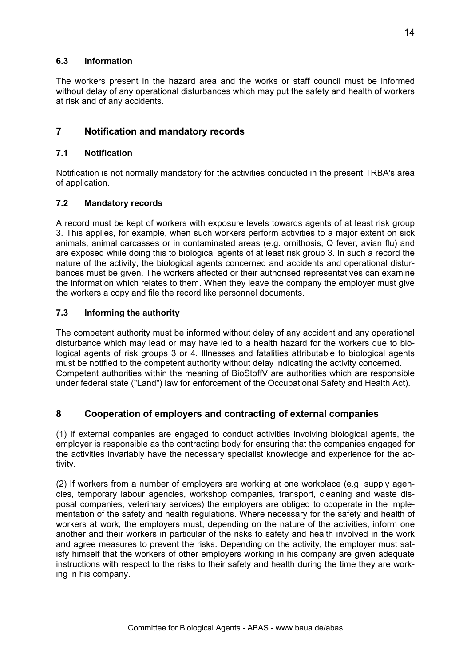## **6.3 Information**

The workers present in the hazard area and the works or staff council must be informed without delay of any operational disturbances which may put the safety and health of workers at risk and of any accidents.

# **7 Notification and mandatory records**

### **7.1 Notification**

Notification is not normally mandatory for the activities conducted in the present TRBA's area of application.

## **7.2 Mandatory records**

A record must be kept of workers with exposure levels towards agents of at least risk group 3. This applies, for example, when such workers perform activities to a major extent on sick animals, animal carcasses or in contaminated areas (e.g. ornithosis, Q fever, avian flu) and are exposed while doing this to biological agents of at least risk group 3. In such a record the nature of the activity, the biological agents concerned and accidents and operational disturbances must be given. The workers affected or their authorised representatives can examine the information which relates to them. When they leave the company the employer must give the workers a copy and file the record like personnel documents.

## **7.3 Informing the authority**

The competent authority must be informed without delay of any accident and any operational disturbance which may lead or may have led to a health hazard for the workers due to biological agents of risk groups 3 or 4. Illnesses and fatalities attributable to biological agents must be notified to the competent authority without delay indicating the activity concerned. Competent authorities within the meaning of BioStoffV are authorities which are responsible under federal state ("Land") law for enforcement of the Occupational Safety and Health Act).

## **8 Cooperation of employers and contracting of external companies**

(1) If external companies are engaged to conduct activities involving biological agents, the employer is responsible as the contracting body for ensuring that the companies engaged for the activities invariably have the necessary specialist knowledge and experience for the activity.

(2) If workers from a number of employers are working at one workplace (e.g. supply agencies, temporary labour agencies, workshop companies, transport, cleaning and waste disposal companies, veterinary services) the employers are obliged to cooperate in the implementation of the safety and health regulations. Where necessary for the safety and health of workers at work, the employers must, depending on the nature of the activities, inform one another and their workers in particular of the risks to safety and health involved in the work and agree measures to prevent the risks. Depending on the activity, the employer must satisfy himself that the workers of other employers working in his company are given adequate instructions with respect to the risks to their safety and health during the time they are working in his company.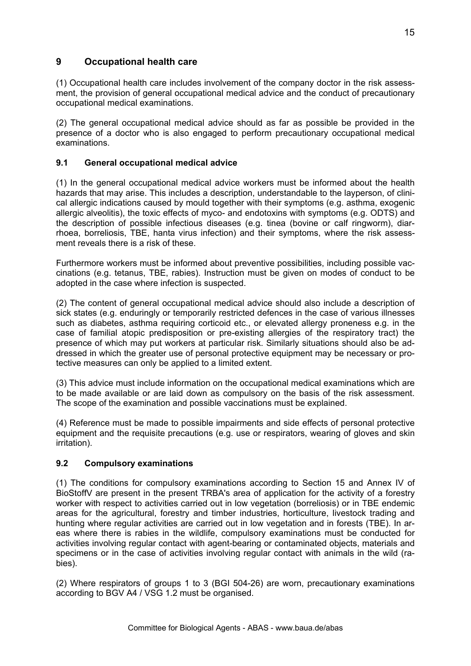# **9 Occupational health care**

(1) Occupational health care includes involvement of the company doctor in the risk assessment, the provision of general occupational medical advice and the conduct of precautionary occupational medical examinations.

(2) The general occupational medical advice should as far as possible be provided in the presence of a doctor who is also engaged to perform precautionary occupational medical examinations.

## **9.1 General occupational medical advice**

(1) In the general occupational medical advice workers must be informed about the health hazards that may arise. This includes a description, understandable to the layperson, of clinical allergic indications caused by mould together with their symptoms (e.g. asthma, exogenic allergic alveolitis), the toxic effects of myco- and endotoxins with symptoms (e.g. ODTS) and the description of possible infectious diseases (e.g. tinea (bovine or calf ringworm), diarrhoea, borreliosis, TBE, hanta virus infection) and their symptoms, where the risk assessment reveals there is a risk of these.

Furthermore workers must be informed about preventive possibilities, including possible vaccinations (e.g. tetanus, TBE, rabies). Instruction must be given on modes of conduct to be adopted in the case where infection is suspected.

(2) The content of general occupational medical advice should also include a description of sick states (e.g. enduringly or temporarily restricted defences in the case of various illnesses such as diabetes, asthma requiring corticoid etc., or elevated allergy proneness e.g. in the case of familial atopic predisposition or pre-existing allergies of the respiratory tract) the presence of which may put workers at particular risk. Similarly situations should also be addressed in which the greater use of personal protective equipment may be necessary or protective measures can only be applied to a limited extent.

(3) This advice must include information on the occupational medical examinations which are to be made available or are laid down as compulsory on the basis of the risk assessment. The scope of the examination and possible vaccinations must be explained.

(4) Reference must be made to possible impairments and side effects of personal protective equipment and the requisite precautions (e.g. use or respirators, wearing of gloves and skin irritation).

#### **9.2 Compulsory examinations**

(1) The conditions for compulsory examinations according to Section 15 and Annex IV of BioStoffV are present in the present TRBA's area of application for the activity of a forestry worker with respect to activities carried out in low vegetation (borreliosis) or in TBE endemic areas for the agricultural, forestry and timber industries, horticulture, livestock trading and hunting where regular activities are carried out in low vegetation and in forests (TBE). In areas where there is rabies in the wildlife, compulsory examinations must be conducted for activities involving regular contact with agent-bearing or contaminated objects, materials and specimens or in the case of activities involving regular contact with animals in the wild (rabies).

(2) Where respirators of groups 1 to 3 (BGI 504-26) are worn, precautionary examinations according to BGV A4 / VSG 1.2 must be organised.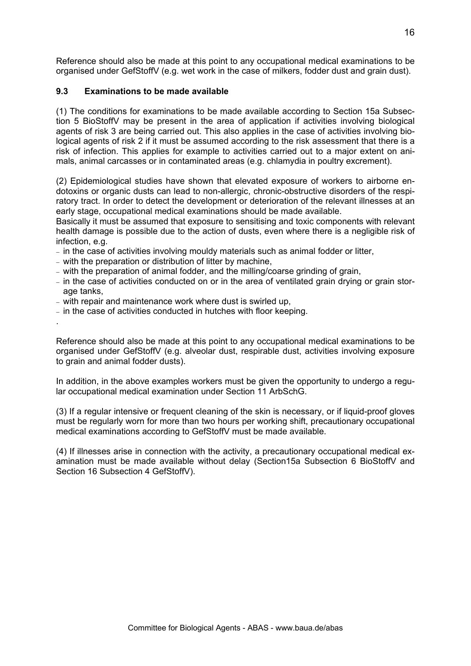Reference should also be made at this point to any occupational medical examinations to be organised under GefStoffV (e.g. wet work in the case of milkers, fodder dust and grain dust).

### **9.3 Examinations to be made available**

(1) The conditions for examinations to be made available according to Section 15a Subsection 5 BioStoffV may be present in the area of application if activities involving biological agents of risk 3 are being carried out. This also applies in the case of activities involving biological agents of risk 2 if it must be assumed according to the risk assessment that there is a risk of infection. This applies for example to activities carried out to a major extent on animals, animal carcasses or in contaminated areas (e.g. chlamydia in poultry excrement).

(2) Epidemiological studies have shown that elevated exposure of workers to airborne endotoxins or organic dusts can lead to non-allergic, chronic-obstructive disorders of the respiratory tract. In order to detect the development or deterioration of the relevant illnesses at an early stage, occupational medical examinations should be made available.

Basically it must be assumed that exposure to sensitising and toxic components with relevant health damage is possible due to the action of dusts, even where there is a negligible risk of infection, e.g.

- − in the case of activities involving mouldy materials such as animal fodder or litter,
- − with the preparation or distribution of litter by machine,
- − with the preparation of animal fodder, and the milling/coarse grinding of grain,
- − in the case of activities conducted on or in the area of ventilated grain drying or grain storage tanks,
- − with repair and maintenance work where dust is swirled up,

.

− in the case of activities conducted in hutches with floor keeping.

Reference should also be made at this point to any occupational medical examinations to be organised under GefStoffV (e.g. alveolar dust, respirable dust, activities involving exposure to grain and animal fodder dusts).

In addition, in the above examples workers must be given the opportunity to undergo a regular occupational medical examination under Section 11 ArbSchG.

(3) If a regular intensive or frequent cleaning of the skin is necessary, or if liquid-proof gloves must be regularly worn for more than two hours per working shift, precautionary occupational medical examinations according to GefStoffV must be made available.

(4) If illnesses arise in connection with the activity, a precautionary occupational medical examination must be made available without delay (Section15a Subsection 6 BioStoffV and Section 16 Subsection 4 GefStoffV).